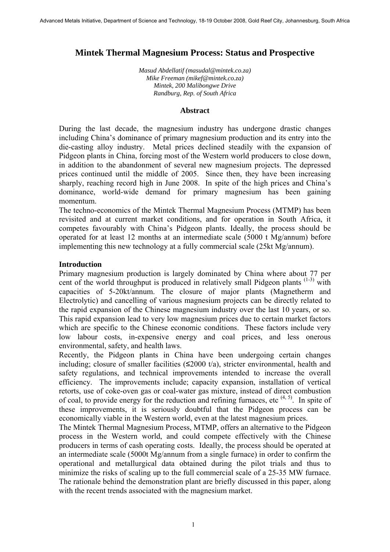# **Mintek Thermal Magnesium Process: Status and Prospective**

*Masud Abdellatif (masudal@mintek.co.za) Mike Freeman (mikef@mintek.co.za) Mintek, 200 Malibongwe Drive Randburg, Rep. of South Africa* 

### **Abstract**

During the last decade, the magnesium industry has undergone drastic changes including China's dominance of primary magnesium production and its entry into the die-casting alloy industry. Metal prices declined steadily with the expansion of Pidgeon plants in China, forcing most of the Western world producers to close down, in addition to the abandonment of several new magnesium projects. The depressed prices continued until the middle of 2005. Since then, they have been increasing sharply, reaching record high in June 2008. In spite of the high prices and China's dominance, world-wide demand for primary magnesium has been gaining momentum.

The techno-economics of the Mintek Thermal Magnesium Process (MTMP) has been revisited and at current market conditions, and for operation in South Africa, it competes favourably with China's Pidgeon plants. Ideally, the process should be operated for at least 12 months at an intermediate scale (5000 t Mg/annum) before implementing this new technology at a fully commercial scale (25kt Mg/annum).

### **Introduction**

Primary magnesium production is largely dominated by China where about 77 per cent of the world throughput is produced in relatively small Pidgeon plants  $(1-3)$  with capacities of 5-20kt/annum. The closure of major plants (Magnetherm and Electrolytic) and cancelling of various magnesium projects can be directly related to the rapid expansion of the Chinese magnesium industry over the last 10 years, or so. This rapid expansion lead to very low magnesium prices due to certain market factors which are specific to the Chinese economic conditions. These factors include very low labour costs, in-expensive energy and coal prices, and less onerous environmental, safety, and health laws.

Recently, the Pidgeon plants in China have been undergoing certain changes including; closure of smaller facilities  $(\leq 2000 \ t/a)$ , stricter environmental, health and safety regulations, and technical improvements intended to increase the overall efficiency. The improvements include; capacity expansion, installation of vertical retorts, use of coke-oven gas or coal-water gas mixture, instead of direct combustion of coal, to provide energy for the reduction and refining furnaces, etc  $(4, 5)$ . In spite of these improvements, it is seriously doubtful that the Pidgeon process can be economically viable in the Western world, even at the latest magnesium prices.

The Mintek Thermal Magnesium Process, MTMP, offers an alternative to the Pidgeon process in the Western world, and could compete effectively with the Chinese producers in terms of cash operating costs. Ideally, the process should be operated at an intermediate scale (5000t Mg/annum from a single furnace) in order to confirm the operational and metallurgical data obtained during the pilot trials and thus to minimize the risks of scaling up to the full commercial scale of a 25-35 MW furnace. The rationale behind the demonstration plant are briefly discussed in this paper, along with the recent trends associated with the magnesium market.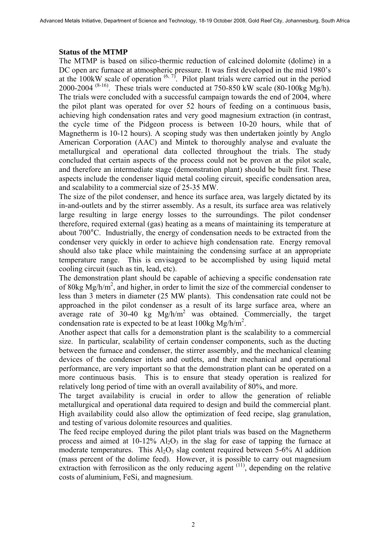## **Status of the MTMP**

The MTMP is based on silico-thermic reduction of calcined dolomite (dolime) in a DC open arc furnace at atmospheric pressure. It was first developed in the mid 1980's at the 100kW scale of operation  $(6, 7)$ . Pilot plant trials were carried out in the period 2000-2004  $(8-16)$ . These trials were conducted at 750-850 kW scale (80-100kg Mg/h). The trials were concluded with a successful campaign towards the end of 2004, where the pilot plant was operated for over 52 hours of feeding on a continuous basis, achieving high condensation rates and very good magnesium extraction (in contrast, the cycle time of the Pidgeon process is between 10-20 hours, while that of Magnetherm is 10-12 hours). A scoping study was then undertaken jointly by Anglo American Corporation (AAC) and Mintek to thoroughly analyse and evaluate the metallurgical and operational data collected throughout the trials. The study concluded that certain aspects of the process could not be proven at the pilot scale, and therefore an intermediate stage (demonstration plant) should be built first. These aspects include the condenser liquid metal cooling circuit, specific condensation area, and scalability to a commercial size of 25-35 MW.

The size of the pilot condenser, and hence its surface area, was largely dictated by its in-and-outlets and by the stirrer assembly. As a result, its surface area was relatively large resulting in large energy losses to the surroundings. The pilot condenser therefore, required external (gas) heating as a means of maintaining its temperature at about 700°C. Industrially, the energy of condensation needs to be extracted from the condenser very quickly in order to achieve high condensation rate. Energy removal should also take place while maintaining the condensing surface at an appropriate temperature range. This is envisaged to be accomplished by using liquid metal cooling circuit (such as tin, lead, etc).

The demonstration plant should be capable of achieving a specific condensation rate of 80kg Mg/h/m<sup>2</sup>, and higher, in order to limit the size of the commercial condenser to less than 3 meters in diameter (25 MW plants). This condensation rate could not be approached in the pilot condenser as a result of its large surface area, where an average rate of  $30-40$  kg Mg/h/m<sup>2</sup> was obtained. Commercially, the target condensation rate is expected to be at least 100kg Mg/h/m<sup>2</sup>.

Another aspect that calls for a demonstration plant is the scalability to a commercial size. In particular, scalability of certain condenser components, such as the ducting between the furnace and condenser, the stirrer assembly, and the mechanical cleaning devices of the condenser inlets and outlets, and their mechanical and operational performance, are very important so that the demonstration plant can be operated on a more continuous basis. This is to ensure that steady operation is realized for relatively long period of time with an overall availability of 80%, and more.

The target availability is crucial in order to allow the generation of reliable metallurgical and operational data required to design and build the commercial plant. High availability could also allow the optimization of feed recipe, slag granulation, and testing of various dolomite resources and qualities.

The feed recipe employed during the pilot plant trials was based on the Magnetherm process and aimed at  $10-12\%$  Al<sub>2</sub>O<sub>3</sub> in the slag for ease of tapping the furnace at moderate temperatures. This  $Al_2O_3$  slag content required between 5-6% Al addition (mass percent of the dolime feed). However, it is possible to carry out magnesium extraction with ferrosilicon as the only reducing agent  $(11)$ , depending on the relative costs of aluminium, FeSi, and magnesium.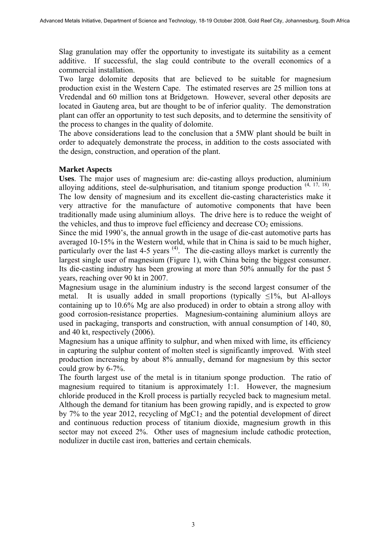Slag granulation may offer the opportunity to investigate its suitability as a cement additive. If successful, the slag could contribute to the overall economics of a commercial installation.

Two large dolomite deposits that are believed to be suitable for magnesium production exist in the Western Cape. The estimated reserves are 25 million tons at Vredendal and 60 million tons at Bridgetown. However, several other deposits are located in Gauteng area, but are thought to be of inferior quality. The demonstration plant can offer an opportunity to test such deposits, and to determine the sensitivity of the process to changes in the quality of dolomite.

The above considerations lead to the conclusion that a 5MW plant should be built in order to adequately demonstrate the process, in addition to the costs associated with the design, construction, and operation of the plant.

### **Market Aspects**

**Uses**. The major uses of magnesium are: die-casting alloys production, aluminium alloying additions, steel de-sulphurisation, and titanium sponge production  $(4, 17, 18)$ . The low density of magnesium and its excellent die-casting characteristics make it very attractive for the manufacture of automotive components that have been traditionally made using aluminium alloys. The drive here is to reduce the weight of the vehicles, and thus to improve fuel efficiency and decrease  $CO<sub>2</sub>$  emissions.

Since the mid 1990's, the annual growth in the usage of die-cast automotive parts has averaged 10-15% in the Western world, while that in China is said to be much higher, particularly over the last  $4-5$  years  $(4)$ . The die-casting alloys market is currently the largest single user of magnesium (Figure 1), with China being the biggest consumer. Its die-casting industry has been growing at more than 50% annually for the past 5 years, reaching over 90 kt in 2007.

Magnesium usage in the aluminium industry is the second largest consumer of the metal. It is usually added in small proportions (typically  $\leq$ 1%, but Al-alloys containing up to 10.6% Mg are also produced) in order to obtain a strong alloy with good corrosion-resistance properties. Magnesium-containing aluminium alloys are used in packaging, transports and construction, with annual consumption of 140, 80, and 40 kt, respectively (2006).

Magnesium has a unique affinity to sulphur, and when mixed with lime, its efficiency in capturing the sulphur content of molten steel is significantly improved. With steel production increasing by about 8% annually, demand for magnesium by this sector could grow by 6-7%.

The fourth largest use of the metal is in titanium sponge production. The ratio of magnesium required to titanium is approximately 1:1. However, the magnesium chloride produced in the Kroll process is partially recycled back to magnesium metal. Although the demand for titanium has been growing rapidly, and is expected to grow by 7% to the year 2012, recycling of  $MgCl<sub>2</sub>$  and the potential development of direct and continuous reduction process of titanium dioxide, magnesium growth in this sector may not exceed 2%. Other uses of magnesium include cathodic protection, nodulizer in ductile cast iron, batteries and certain chemicals.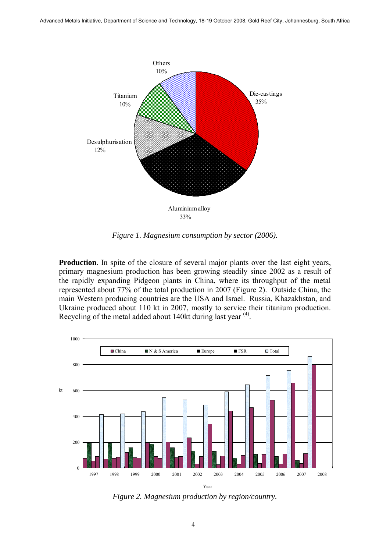

*Figure 1. Magnesium consumption by sector (2006).* 

**Production**. In spite of the closure of several major plants over the last eight years, primary magnesium production has been growing steadily since 2002 as a result of the rapidly expanding Pidgeon plants in China, where its throughput of the metal represented about 77% of the total production in 2007 (Figure 2). Outside China, the main Western producing countries are the USA and Israel. Russia, Khazakhstan, and Ukraine produced about 110 kt in 2007, mostly to service their titanium production. Recycling of the metal added about 140kt during last year <sup>(4)</sup>.



*Figure 2. Magnesium production by region/country.*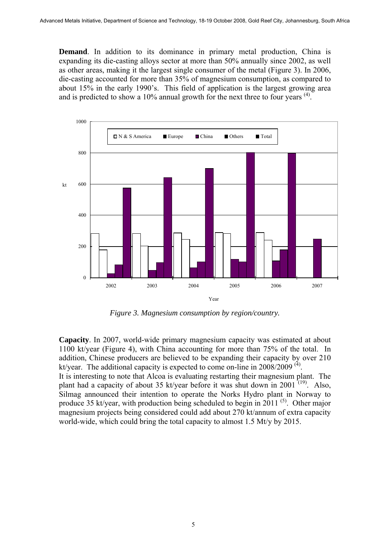**Demand**. In addition to its dominance in primary metal production, China is expanding its die-casting alloys sector at more than 50% annually since 2002, as well as other areas, making it the largest single consumer of the metal (Figure 3). In 2006, die-casting accounted for more than 35% of magnesium consumption, as compared to about 15% in the early 1990's. This field of application is the largest growing area and is predicted to show a  $10\%$  annual growth for the next three to four years  $(4)$ .



*Figure 3. Magnesium consumption by region/country.* 

**Capacity**. In 2007, world-wide primary magnesium capacity was estimated at about 1100 kt/year (Figure 4), with China accounting for more than 75% of the total. In addition, Chinese producers are believed to be expanding their capacity by over 210 kt/year. The additional capacity is expected to come on-line in  $2008/2009$ <sup>(4)</sup>.

It is interesting to note that Alcoa is evaluating restarting their magnesium plant. The plant had a capacity of about 35 kt/year before it was shut down in 2001<sup> $(19)$ </sup>. Also, Silmag announced their intention to operate the Norks Hydro plant in Norway to produce 35 kt/year, with production being scheduled to begin in 2011 (5). Other major magnesium projects being considered could add about 270 kt/annum of extra capacity world-wide, which could bring the total capacity to almost 1.5 Mt/y by 2015.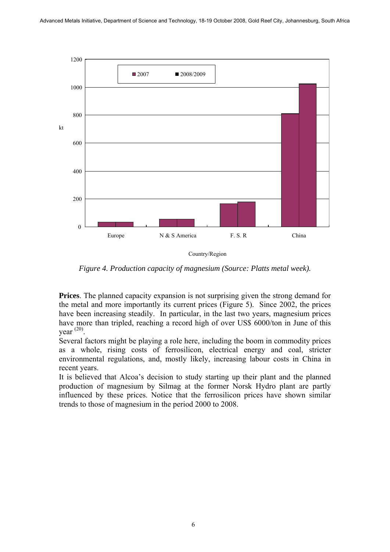

Country/Region

*Figure 4. Production capacity of magnesium (Source: Platts metal week).* 

**Prices**. The planned capacity expansion is not surprising given the strong demand for the metal and more importantly its current prices (Figure 5). Since 2002, the prices have been increasing steadily. In particular, in the last two years, magnesium prices have more than tripled, reaching a record high of over US\$ 6000/ton in June of this vear  $^{(20)}$ .

Several factors might be playing a role here, including the boom in commodity prices as a whole, rising costs of ferrosilicon, electrical energy and coal, stricter environmental regulations, and, mostly likely, increasing labour costs in China in recent years.

It is believed that Alcoa's decision to study starting up their plant and the planned production of magnesium by Silmag at the former Norsk Hydro plant are partly influenced by these prices. Notice that the ferrosilicon prices have shown similar trends to those of magnesium in the period 2000 to 2008.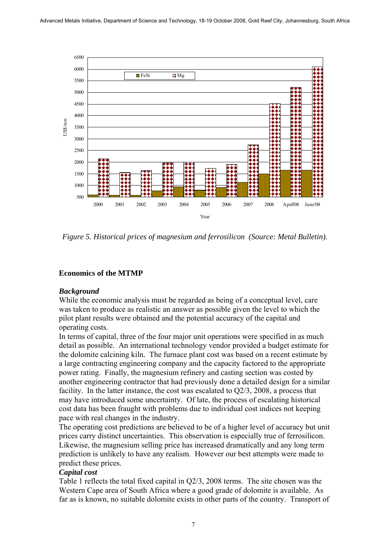

*Figure 5. Historical prices of magnesium and ferrosilicon (Source: Metal Bulletin).* 

## **Economics of the MTMP**

### *Background*

While the economic analysis must be regarded as being of a conceptual level, care was taken to produce as realistic an answer as possible given the level to which the pilot plant results were obtained and the potential accuracy of the capital and operating costs.

In terms of capital, three of the four major unit operations were specified in as much detail as possible. An international technology vendor provided a budget estimate for the dolomite calcining kiln. The furnace plant cost was based on a recent estimate by a large contracting engineering company and the capacity factored to the appropriate power rating. Finally, the magnesium refinery and casting section was costed by another engineering contractor that had previously done a detailed design for a similar facility. In the latter instance, the cost was escalated to Q2/3, 2008, a process that may have introduced some uncertainty. Of late, the process of escalating historical cost data has been fraught with problems due to individual cost indices not keeping pace with real changes in the industry.

The operating cost predictions are believed to be of a higher level of accuracy but unit prices carry distinct uncertainties. This observation is especially true of ferrosilicon. Likewise, the magnesium selling price has increased dramatically and any long term prediction is unlikely to have any realism. However our best attempts were made to predict these prices.

### *Capital cost*

Table 1 reflects the total fixed capital in Q2/3, 2008 terms. The site chosen was the Western Cape area of South Africa where a good grade of dolomite is available. As far as is known, no suitable dolomite exists in other parts of the country. Transport of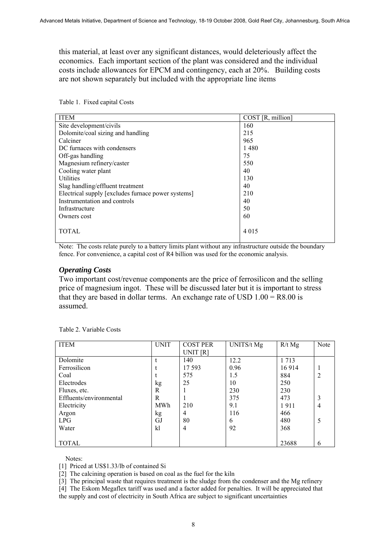this material, at least over any significant distances, would deleteriously affect the economics. Each important section of the plant was considered and the individual costs include allowances for EPCM and contingency, each at 20%. Building costs are not shown separately but included with the appropriate line items

| <b>ITEM</b>                                        | COST [R, million] |
|----------------------------------------------------|-------------------|
| Site development/civils                            | 160               |
| Dolomite/coal sizing and handling                  | 215               |
| Calciner                                           | 965               |
| DC furnaces with condensers                        | 1480              |
| Off-gas handling                                   | 75                |
| Magnesium refinery/caster                          | 550               |
| Cooling water plant                                | 40                |
| <b>Utilities</b>                                   | 130               |
| Slag handling/effluent treatment                   | 40                |
| Electrical supply [excludes furnace power systems] | 210               |
| Instrumentation and controls                       | 40                |
| Infrastructure                                     | 50                |
| Owners cost                                        | 60                |
| TOTAL                                              | 4 0 1 5           |

Table 1. Fixed capital Costs

Note: The costs relate purely to a battery limits plant without any infrastructure outside the boundary fence. For convenience, a capital cost of R4 billion was used for the economic analysis.

### *Operating Costs*

Two important cost/revenue components are the price of ferrosilicon and the selling price of magnesium ingot. These will be discussed later but it is important to stress that they are based in dollar terms. An exchange rate of USD  $1.00 = R8.00$  is assumed.

| <b>ITEM</b>             | <b>UNIT</b> | <b>COST PER</b> | UNITS/t Mg | $R/t$ Mg | Note           |
|-------------------------|-------------|-----------------|------------|----------|----------------|
|                         |             | UNIT [R]        |            |          |                |
| Dolomite                |             | 140             | 12.2       | 1 7 1 3  |                |
| Ferrosilicon            |             | 17 5 93         | 0.96       | 16914    | 1              |
| Coal                    |             | 575             | 1.5        | 884      | $\overline{2}$ |
| Electrodes              | kg          | 25              | 10         | 250      |                |
| Fluxes, etc.            | R           |                 | 230        | 230      |                |
| Effluents/environmental | R           |                 | 375        | 473      | 3              |
| Electricity             | <b>MWh</b>  | 210             | 9.1        | 1911     | $\overline{4}$ |
| Argon                   | kg          | 4               | 116        | 466      |                |
| LPG                     | GJ          | 80              | 6          | 480      | 5              |
| Water                   | k1          | $\overline{4}$  | 92         | 368      |                |
|                         |             |                 |            |          |                |
| <b>TOTAL</b>            |             |                 |            | 23688    | 6              |

Table 2. Variable Costs

Notes:

[1] Priced at US\$1.33/lb of contained Si

[2] The calcining operation is based on coal as the fuel for the kiln

[3] The principal waste that requires treatment is the sludge from the condenser and the Mg refinery

[4] The Eskom Megaflex tariff was used and a factor added for penalties. It will be appreciated that the supply and cost of electricity in South Africa are subject to significant uncertainties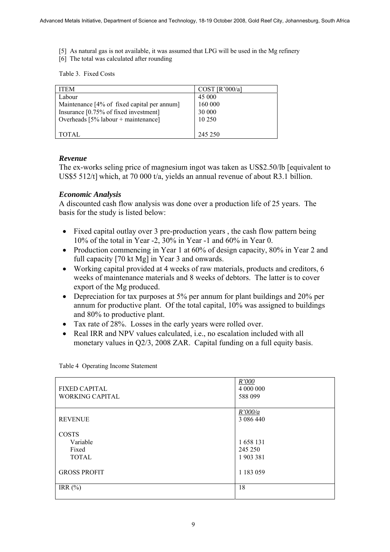- [5] As natural gas is not available, it was assumed that LPG will be used in the Mg refinery
- [6] The total was calculated after rounding

Table 3. Fixed Costs

| <b>ITEM</b>                                 | COST [R'000/a] |
|---------------------------------------------|----------------|
| Labour                                      | 45 000         |
| Maintenance [4% of fixed capital per annum] | 160 000        |
| Insurance [0.75% of fixed investment]       | 30 000         |
| Overheads $[5\%$ labour + maintenance]      | 10 250         |
|                                             |                |
| TOTAL.                                      | 245 250        |

# *Revenue*

The ex-works seling price of magnesium ingot was taken as US\$2.50/lb [equivalent to US\$5 512/t] which, at 70 000 t/a, yields an annual revenue of about R3.1 billion.

# *Economic Analysis*

A discounted cash flow analysis was done over a production life of 25 years. The basis for the study is listed below:

- Fixed capital outlay over 3 pre-production years , the cash flow pattern being 10% of the total in Year -2, 30% in Year -1 and 60% in Year 0.
- Production commencing in Year 1 at 60% of design capacity, 80% in Year 2 and full capacity [70 kt Mg] in Year 3 and onwards.
- Working capital provided at 4 weeks of raw materials, products and creditors, 6 weeks of maintenance materials and 8 weeks of debtors. The latter is to cover export of the Mg produced.
- Depreciation for tax purposes at 5% per annum for plant buildings and 20% per annum for productive plant. Of the total capital, 10% was assigned to buildings and 80% to productive plant.
- Tax rate of 28%. Losses in the early years were rolled over.
- Real IRR and NPV values calculated, i.e., no escalation included with all monetary values in Q2/3, 2008 ZAR. Capital funding on a full equity basis.

| <b>FIXED CAPITAL</b><br><b>WORKING CAPITAL</b>    | R'000<br>4 000 000<br>588 099   |
|---------------------------------------------------|---------------------------------|
| <b>REVENUE</b>                                    | R'000/a<br>3 086 440            |
| <b>COSTS</b><br>Variable<br>Fixed<br><b>TOTAL</b> | 1658 131<br>245 250<br>1903 381 |
| <b>GROSS PROFIT</b>                               | 1 183 059                       |
| IRR $(\%)$                                        | 18                              |

Table 4 Operating Income Statement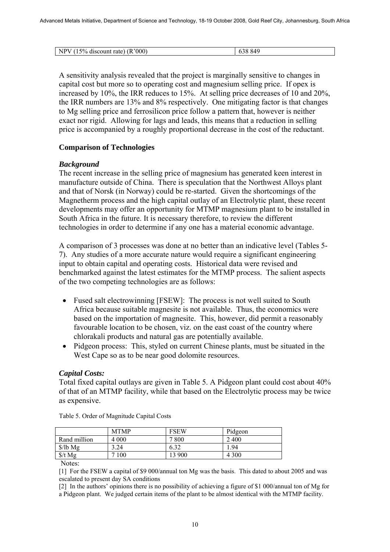| $\frac{1}{2}$ (15% discount rate) (i.<br>NPV<br>(R'000) | 849 |
|---------------------------------------------------------|-----|

A sensitivity analysis revealed that the project is marginally sensitive to changes in capital cost but more so to operating cost and magnesium selling price. If opex is increased by 10%, the IRR reduces to 15%. At selling price decreases of 10 and 20%, the IRR numbers are 13% and 8% respectively. One mitigating factor is that changes to Mg selling price and ferrosilicon price follow a pattern that, however is neither exact nor rigid. Allowing for lags and leads, this means that a reduction in selling price is accompanied by a roughly proportional decrease in the cost of the reductant.

# **Comparison of Technologies**

# *Background*

The recent increase in the selling price of magnesium has generated keen interest in manufacture outside of China. There is speculation that the Northwest Alloys plant and that of Norsk (in Norway) could be re-started. Given the shortcomings of the Magnetherm process and the high capital outlay of an Electrolytic plant, these recent developments may offer an opportunity for MTMP magnesium plant to be installed in South Africa in the future. It is necessary therefore, to review the different technologies in order to determine if any one has a material economic advantage.

A comparison of 3 processes was done at no better than an indicative level (Tables 5- 7). Any studies of a more accurate nature would require a significant engineering input to obtain capital and operating costs. Historical data were revised and benchmarked against the latest estimates for the MTMP process. The salient aspects of the two competing technologies are as follows:

- Fused salt electrowinning [FSEW]: The process is not well suited to South Africa because suitable magnesite is not available. Thus, the economics were based on the importation of magnesite. This, however, did permit a reasonably favourable location to be chosen, viz. on the east coast of the country where chlorakali products and natural gas are potentially available.
- Pidgeon process: This, styled on current Chinese plants, must be situated in the West Cape so as to be near good dolomite resources.

# *Capital Costs:*

Total fixed capital outlays are given in Table 5. A Pidgeon plant could cost about 40% of that of an MTMP facility, while that based on the Electrolytic process may be twice as expensive.

|              | <b>MTMP</b> | <b>FSEW</b> | Pidgeon |
|--------------|-------------|-------------|---------|
| Rand million | 4 0 0 0     | 7 800       | 2400    |
| $$/lb$ Mg    | 3.24        | 6.32        | -94     |
| $$/t\ Mg$    | 100         | 13 900      | 4 3 0 0 |

Table 5. Order of Magnitude Capital Costs

Notes:

[1] For the FSEW a capital of \$9 000/annual ton Mg was the basis. This dated to about 2005 and was escalated to present day SA conditions

[2] In the authors' opinions there is no possibility of achieving a figure of \$1 000/annual ton of Mg for a Pidgeon plant. We judged certain items of the plant to be almost identical with the MTMP facility.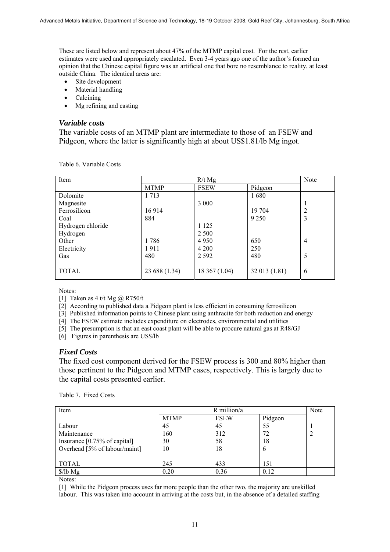These are listed below and represent about 47% of the MTMP capital cost. For the rest, earlier estimates were used and appropriately escalated. Even 3-4 years ago one of the author's formed an opinion that the Chinese capital figure was an artificial one that bore no resemblance to reality, at least outside China. The identical areas are:

- Site development
- Material handling
- Calcining
- Mg refining and casting

#### *Variable costs*

The variable costs of an MTMP plant are intermediate to those of an FSEW and Pidgeon, where the latter is significantly high at about US\$1.81/lb Mg ingot.

| Item              | $R/t$ Mg      |               |               | Note |
|-------------------|---------------|---------------|---------------|------|
|                   | <b>MTMP</b>   | <b>FSEW</b>   | Pidgeon       |      |
| Dolomite          | 1 7 1 3       |               | 1680          |      |
| Magnesite         |               | 3 0 0 0       |               |      |
| Ferrosilicon      | 16914         |               | 19 704        |      |
| Coal              | 884           |               | 9 2 5 0       | 3    |
| Hydrogen chloride |               | 1 1 2 5       |               |      |
| Hydrogen          |               | 2 5 0 0       |               |      |
| Other             | 1786          | 4 9 5 0       | 650           | 4    |
| Electricity       | 1911          | 4 200         | 250           |      |
| Gas               | 480           | 2 5 9 2       | 480           | 5    |
|                   |               |               |               |      |
| <b>TOTAL</b>      | 23 688 (1.34) | 18 367 (1.04) | 32 013 (1.81) | 6    |
|                   |               |               |               |      |

Table 6. Variable Costs

Notes:

[1] Taken as 4 t/t Mg  $\omega$  R750/t

[2] According to published data a Pidgeon plant is less efficient in consuming ferrosilicon

[3] Published information points to Chinese plant using anthracite for both reduction and energy

[4] The FSEW estimate includes expenditure on electrodes, environmental and utilities

[5] The presumption is that an east coast plant will be able to procure natural gas at R48/GJ

[6] Figures in parenthesis are US\$/lb

### *Fixed Costs*

The fixed cost component derived for the FSEW process is 300 and 80% higher than those pertinent to the Pidgeon and MTMP cases, respectively. This is largely due to the capital costs presented earlier.

| Table 7. Fixed Costs |  |
|----------------------|--|
|----------------------|--|

| Item                                    | R million/a |             |         | Note |
|-----------------------------------------|-------------|-------------|---------|------|
|                                         | <b>MTMP</b> | <b>FSEW</b> | Pidgeon |      |
| Labour                                  | 45          | 45          | 55      |      |
| Maintenance                             | 160         | 312         | 72      |      |
| Insurance $[0.75\% \text{ of capital}]$ | 30          | 58          | 18      |      |
| Overhead [5% of labour/maint]           | 10          | 18          | 6       |      |
|                                         |             |             |         |      |
| <b>TOTAL</b>                            | 245         | 433         | 151     |      |
| $\frac{\sqrt{}}{\sqrt{2}}$              | 0.20        | 0.36        | 0.12    |      |

Notes:

[1] While the Pidgeon process uses far more people than the other two, the majority are unskilled labour. This was taken into account in arriving at the costs but, in the absence of a detailed staffing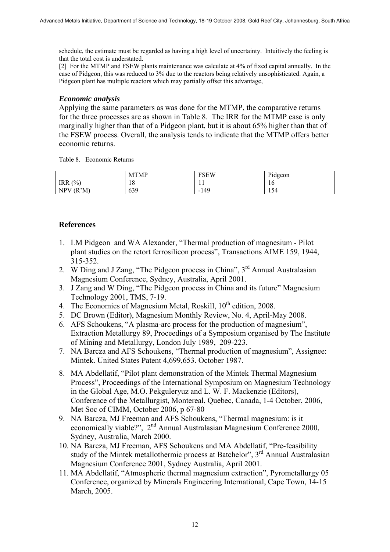schedule, the estimate must be regarded as having a high level of uncertainty. Intuitively the feeling is that the total cost is understated.

[2] For the MTMP and FSEW plants maintenance was calculate at 4% of fixed capital annually. In the case of Pidgeon, this was reduced to 3% due to the reactors being relatively unsophisticated. Again, a Pidgeon plant has multiple reactors which may partially offset this advantage,

### *Economic analysis*

Applying the same parameters as was done for the MTMP, the comparative returns for the three processes are as shown in Table 8. The IRR for the MTMP case is only marginally higher than that of a Pidgeon plant, but it is about 65% higher than that of the FSEW process. Overall, the analysis tends to indicate that the MTMP offers better economic returns.

Table 8. Economic Returns

|                   | <b>MTMP</b> | <b>FSEW</b> | Pidgeon                         |
|-------------------|-------------|-------------|---------------------------------|
| (%)<br><b>IRR</b> | 18          | . .         | 16                              |
| (R'M)<br>NPV      | 639         | $-149$      | $\overline{\phantom{0}}$<br>124 |

### **References**

- 1. LM Pidgeon and WA Alexander, "Thermal production of magnesium Pilot plant studies on the retort ferrosilicon process", Transactions AIME 159, 1944, 315-352.
- 2. W Ding and J Zang, "The Pidgeon process in China",  $3<sup>rd</sup>$  Annual Australasian Magnesium Conference, Sydney, Australia, April 2001.
- 3. J Zang and W Ding, "The Pidgeon process in China and its future" Magnesium Technology 2001, TMS, 7-19.
- 4. The Economics of Magnesium Metal, Roskill, 10<sup>th</sup> edition, 2008.
- 5. DC Brown (Editor), Magnesium Monthly Review, No. 4, April-May 2008.
- 6. AFS Schoukens, "A plasma-arc process for the production of magnesium", Extraction Metallurgy 89, Proceedings of a Symposium organised by The Institute of Mining and Metallurgy, London July 1989, 209-223.
- 7. NA Barcza and AFS Schoukens, "Thermal production of magnesium", Assignee: Mintek. United States Patent 4,699,653. October 1987.
- 8. MA Abdellatif, "Pilot plant demonstration of the Mintek Thermal Magnesium Process", Proceedings of the International Symposium on Magnesium Technology in the Global Age, M.O. Pekguleryuz and L. W. F. Mackenzie (Editors), Conference of the Metallurgist, Montereal, Quebec, Canada, 1-4 October, 2006, Met Soc of CIMM, October 2006, p 67-80
- 9. NA Barcza, MJ Freeman and AFS Schoukens, "Thermal magnesium: is it economically viable?", 2<sup>nd</sup> Annual Australasian Magnesium Conference 2000, Sydney, Australia, March 2000.
- 10. NA Barcza, MJ Freeman, AFS Schoukens and MA Abdellatif, "Pre-feasibility study of the Mintek metallothermic process at Batchelor", 3<sup>rd</sup> Annual Australasian Magnesium Conference 2001, Sydney Australia, April 2001.
- 11. MA Abdellatif, "Atmospheric thermal magnesium extraction", Pyrometallurgy 05 Conference, organized by Minerals Engineering International, Cape Town, 14-15 March, 2005.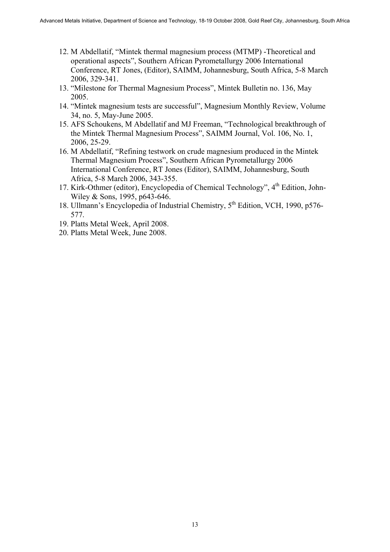- 12. M Abdellatif, "Mintek thermal magnesium process (MTMP) -Theoretical and operational aspects", Southern African Pyrometallurgy 2006 International Conference, RT Jones, (Editor), SAIMM, Johannesburg, South Africa, 5-8 March 2006, 329-341.
- 13. "Milestone for Thermal Magnesium Process", Mintek Bulletin no. 136, May 2005.
- 14. "Mintek magnesium tests are successful", Magnesium Monthly Review, Volume 34, no. 5, May-June 2005.
- 15. AFS Schoukens, M Abdellatif and MJ Freeman, "Technological breakthrough of the Mintek Thermal Magnesium Process", SAIMM Journal, Vol. 106, No. 1, 2006, 25-29.
- 16. M Abdellatif, "Refining testwork on crude magnesium produced in the Mintek Thermal Magnesium Process", Southern African Pyrometallurgy 2006 International Conference, RT Jones (Editor), SAIMM, Johannesburg, South Africa, 5-8 March 2006, 343-355.
- 17. Kirk-Othmer (editor), Encyclopedia of Chemical Technology", 4<sup>th</sup> Edition, John-Wiley & Sons, 1995, p643-646.
- 18. Ullmann's Encyclopedia of Industrial Chemistry, 5th Edition, VCH, 1990, p576- 577.
- 19. Platts Metal Week, April 2008.
- 20. Platts Metal Week, June 2008.